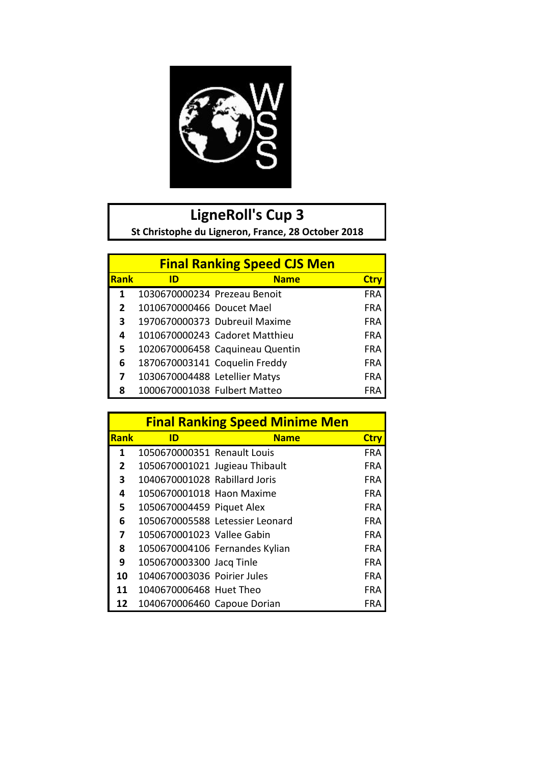

## **LigneRoll's Cup 3**

St Christophe du Ligneron, France, 28 October 2018

|                |                               | <b>Final Ranking Speed CJS Men</b> |             |
|----------------|-------------------------------|------------------------------------|-------------|
| <b>Rank</b>    | ID                            | <b>Name</b>                        | <b>Ctry</b> |
| 1              | 1030670000234 Prezeau Benoit  |                                    | <b>FRA</b>  |
| $\overline{2}$ | 1010670000466 Doucet Mael     |                                    | <b>FRA</b>  |
| 3              |                               | 1970670000373 Dubreuil Maxime      | <b>FRA</b>  |
| 4              |                               | 1010670000243 Cadoret Matthieu     | <b>FRA</b>  |
| 5              |                               | 1020670006458 Caquineau Quentin    | FRA         |
| 6              | 1870670003141 Coquelin Freddy |                                    | <b>FRA</b>  |
| 7              | 1030670004488 Letellier Matys |                                    | FRA         |
| 8              | 1000670001038 Fulbert Matteo  |                                    | FRA         |

|             |                               | <b>Final Ranking Speed Minime Men</b> |             |
|-------------|-------------------------------|---------------------------------------|-------------|
| <b>Rank</b> | ID                            | <b>Name</b>                           | <b>Ctry</b> |
| 1           | 1050670000351 Renault Louis   |                                       | <b>FRA</b>  |
| 2           |                               | 1050670001021 Jugieau Thibault        | <b>FRA</b>  |
| 3           | 1040670001028 Rabillard Joris |                                       | <b>FRA</b>  |
| 4           | 1050670001018 Haon Maxime     |                                       | <b>FRA</b>  |
| 5           | 1050670004459 Piquet Alex     |                                       | <b>FRA</b>  |
| 6           |                               | 1050670005588 Letessier Leonard       | <b>FRA</b>  |
| 7           | 1050670001023 Vallee Gabin    |                                       | <b>FRA</b>  |
| 8           |                               | 1050670004106 Fernandes Kylian        | <b>FRA</b>  |
| 9           | 1050670003300 Jacq Tinle      |                                       | <b>FRA</b>  |
| 10          | 1040670003036 Poirier Jules   |                                       | <b>FRA</b>  |
| 11          | 1040670006468 Huet Theo       |                                       | <b>FRA</b>  |
| 12          | 1040670006460 Capoue Dorian   |                                       | FRA         |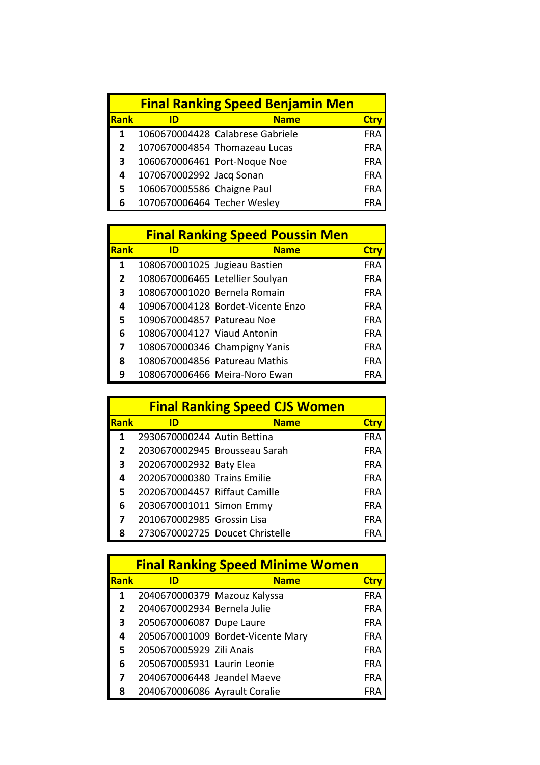|             | <b>Final Ranking Speed Benjamin Men</b> |                                  |            |
|-------------|-----------------------------------------|----------------------------------|------------|
| <b>Rank</b> | ID                                      | <b>Name</b>                      | Ctr        |
|             |                                         | 1060670004428 Calabrese Gabriele | <b>FRA</b> |
| 2           |                                         | 1070670004854 Thomazeau Lucas    | <b>FRA</b> |
| 3           |                                         | 1060670006461 Port-Noque Noe     | <b>FRA</b> |
| 4           | 1070670002992 Jacq Sonan                |                                  | <b>FRA</b> |
| 5           | 1060670005586 Chaigne Paul              |                                  | <b>FRA</b> |
| 6           | 1070670006464 Techer Wesley             |                                  | FRA        |

|              |                               | <b>Final Ranking Speed Poussin Men</b> |             |
|--------------|-------------------------------|----------------------------------------|-------------|
| <b>Rank</b>  | ID                            | <b>Name</b>                            | <b>Ctry</b> |
| 1            | 1080670001025 Jugieau Bastien |                                        | <b>FRA</b>  |
| $\mathbf{2}$ |                               | 1080670006465 Letellier Soulyan        | <b>FRA</b>  |
| 3            | 1080670001020 Bernela Romain  |                                        | <b>FRA</b>  |
| 4            |                               | 1090670004128 Bordet-Vicente Enzo      | FRA         |
| 5            | 1090670004857 Patureau Noe    |                                        | <b>FRA</b>  |
| 6            | 1080670004127 Viaud Antonin   |                                        | <b>FRA</b>  |
| 7            |                               | 1080670000346 Champigny Yanis          | <b>FRA</b>  |
| 8            |                               | 1080670004856 Patureau Mathis          | <b>FRA</b>  |
| q            |                               | 1080670006466 Meira-Noro Ewan          | FRA         |

|                |                               | <b>Final Ranking Speed CJS Women</b> |             |
|----------------|-------------------------------|--------------------------------------|-------------|
| <b>Rank</b>    | ID                            | <b>Name</b>                          | <b>Ctry</b> |
| 1              | 2930670000244 Autin Bettina   |                                      | <b>FRA</b>  |
| $\overline{2}$ |                               | 2030670002945 Brousseau Sarah        | <b>FRA</b>  |
| 3              | 2020670002932 Baty Elea       |                                      | <b>FRA</b>  |
| 4              | 2020670000380 Trains Emilie   |                                      | <b>FRA</b>  |
| 5              | 2020670004457 Riffaut Camille |                                      | <b>FRA</b>  |
| 6              | 2030670001011 Simon Emmy      |                                      | <b>FRA</b>  |
|                | 2010670002985 Grossin Lisa    |                                      | <b>FRA</b>  |
| 8              |                               | 2730670002725 Doucet Christelle      |             |

|             |                               | <b>Final Ranking Speed Minime Women</b> |             |
|-------------|-------------------------------|-----------------------------------------|-------------|
| <b>Rank</b> | ID                            | <b>Name</b>                             | <b>Ctry</b> |
| 1           | 2040670000379 Mazouz Kalyssa  |                                         | <b>FRA</b>  |
| 2           | 2040670002934 Bernela Julie   |                                         | <b>FRA</b>  |
| 3           | 2050670006087 Dupe Laure      |                                         | <b>FRA</b>  |
| 4           |                               | 2050670001009 Bordet-Vicente Mary       | <b>FRA</b>  |
| 5           | 2050670005929 Zili Anais      |                                         | <b>FRA</b>  |
| 6           | 2050670005931 Laurin Leonie   |                                         | <b>FRA</b>  |
|             | 2040670006448 Jeandel Maeve   |                                         | <b>FRA</b>  |
| 8           | 2040670006086 Ayrault Coralie |                                         | FRA         |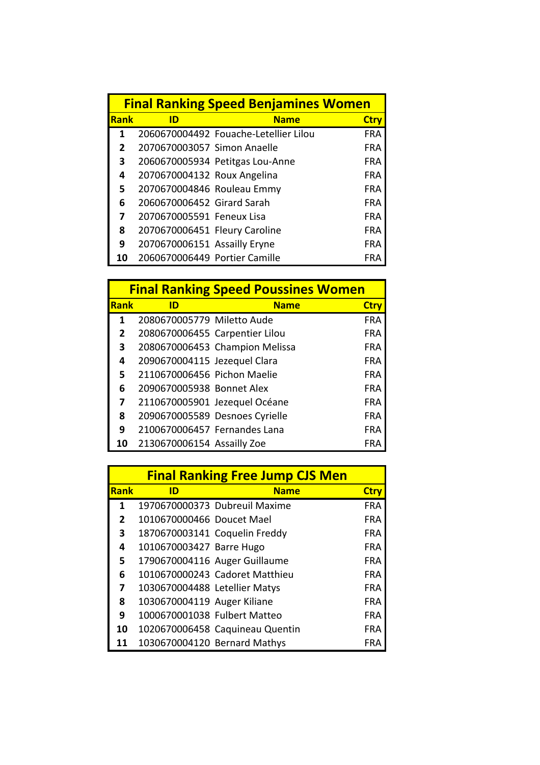|             |                               | <b>Final Ranking Speed Benjamines Women</b> |             |
|-------------|-------------------------------|---------------------------------------------|-------------|
| <b>Rank</b> | ID                            | <b>Name</b>                                 | <b>Ctry</b> |
| 1           |                               | 2060670004492 Fouache-Letellier Lilou       | <b>FRA</b>  |
| 2           | 2070670003057 Simon Anaelle   |                                             | <b>FRA</b>  |
| 3           |                               | 2060670005934 Petitgas Lou-Anne             | FRA         |
| 4           | 2070670004132 Roux Angelina   |                                             | FRA         |
| 5           | 2070670004846 Rouleau Emmy    |                                             | <b>FRA</b>  |
| 6           | 2060670006452 Girard Sarah    |                                             | <b>FRA</b>  |
| 7           | 2070670005591 Feneux Lisa     |                                             | FRA         |
| 8           | 2070670006451 Fleury Caroline |                                             | FRA         |
| 9           | 2070670006151 Assailly Eryne  |                                             | FRA         |
| 10          | 2060670006449 Portier Camille |                                             | FRA         |

|             |                                | <b>Final Ranking Speed Poussines Women</b> |             |
|-------------|--------------------------------|--------------------------------------------|-------------|
| <b>Rank</b> | ID                             | <b>Name</b>                                | <b>Ctry</b> |
| 1           | 2080670005779 Miletto Aude     |                                            | <b>FRA</b>  |
| 2           | 2080670006455 Carpentier Lilou |                                            | FRA         |
| 3           |                                | 2080670006453 Champion Melissa             | <b>FRA</b>  |
| 4           | 2090670004115 Jezequel Clara   |                                            | FRA         |
| 5           | 2110670006456 Pichon Maelie    |                                            | FRA         |
| 6           | 2090670005938 Bonnet Alex      |                                            | FRA         |
| 7           |                                | 2110670005901 Jezequel Océane              | FRA         |
| 8           |                                | 2090670005589 Desnoes Cyrielle             | <b>FRA</b>  |
| 9           | 2100670006457 Fernandes Lana   |                                            | FRA         |
| 10          | 2130670006154 Assailly Zoe     |                                            | FRA         |

|             |                               | <b>Final Ranking Free Jump CJS Men</b> |             |
|-------------|-------------------------------|----------------------------------------|-------------|
| <b>Rank</b> | ID                            | <b>Name</b>                            | <b>Ctry</b> |
| 1           |                               | 1970670000373 Dubreuil Maxime          | <b>FRA</b>  |
| 2           | 1010670000466 Doucet Mael     |                                        | <b>FRA</b>  |
| 3           |                               | 1870670003141 Coquelin Freddy          | <b>FRA</b>  |
| 4           | 1010670003427 Barre Hugo      |                                        | <b>FRA</b>  |
| 5           |                               | 1790670004116 Auger Guillaume          | <b>FRA</b>  |
| 6           |                               | 1010670000243 Cadoret Matthieu         | <b>FRA</b>  |
| 7           | 1030670004488 Letellier Matys |                                        | <b>FRA</b>  |
| 8           | 1030670004119 Auger Kiliane   |                                        | <b>FRA</b>  |
| 9           | 1000670001038 Fulbert Matteo  |                                        | <b>FRA</b>  |
| 10          |                               | 1020670006458 Caquineau Quentin        | <b>FRA</b>  |
| 11          | 1030670004120 Bernard Mathys  |                                        | FRA         |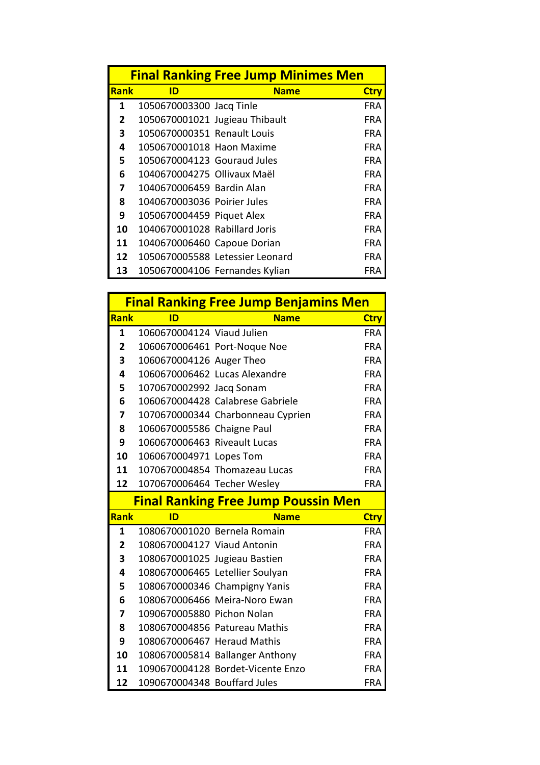|             |                                | <b>Final Ranking Free Jump Minimes Men</b> |             |
|-------------|--------------------------------|--------------------------------------------|-------------|
| <b>Rank</b> | ID                             | <b>Name</b>                                | <b>Ctry</b> |
| 1           | 1050670003300 Jacq Tinle       |                                            | <b>FRA</b>  |
| 2           | 1050670001021 Jugieau Thibault |                                            | <b>FRA</b>  |
| 3           | 1050670000351 Renault Louis    |                                            | <b>FRA</b>  |
| 4           | 1050670001018 Haon Maxime      |                                            | <b>FRA</b>  |
| 5           | 1050670004123 Gouraud Jules    |                                            | <b>FRA</b>  |
| 6           | 1040670004275 Ollivaux Maël    |                                            | <b>FRA</b>  |
| 7           | 1040670006459 Bardin Alan      |                                            | <b>FRA</b>  |
| 8           | 1040670003036 Poirier Jules    |                                            | <b>FRA</b>  |
| 9           | 1050670004459 Piquet Alex      |                                            | <b>FRA</b>  |
| 10          | 1040670001028 Rabillard Joris  |                                            | FRA         |
| 11          | 1040670006460 Capoue Dorian    |                                            | <b>FRA</b>  |
| 12          |                                | 1050670005588 Letessier Leonard            | FRA         |
| 13          |                                | 1050670004106 Fernandes Kylian             | FRA         |

|                |                               | <b>Final Ranking Free Jump Benjamins Men</b> |                          |
|----------------|-------------------------------|----------------------------------------------|--------------------------|
| <b>Rank</b>    | ID                            | <b>Name</b>                                  | <b>Ctry</b>              |
| $\mathbf{1}$   | 1060670004124 Viaud Julien    |                                              | <b>FRA</b>               |
| $\overline{2}$ |                               | 1060670006461 Port-Noque Noe                 | <b>FRA</b>               |
| 3              | 1060670004126 Auger Theo      |                                              | <b>FRA</b>               |
| 4              |                               | 1060670006462 Lucas Alexandre                | <b>FRA</b>               |
| 5              | 1070670002992 Jacq Sonam      |                                              | <b>FRA</b>               |
| 6              |                               | 1060670004428 Calabrese Gabriele             | <b>FRA</b>               |
| 7              |                               | 1070670000344 Charbonneau Cyprien            | <b>FRA</b>               |
| 8              | 1060670005586 Chaigne Paul    |                                              | <b>FRA</b>               |
| 9              | 1060670006463 Riveault Lucas  |                                              | <b>FRA</b>               |
| 10             | 1060670004971 Lopes Tom       |                                              | <b>FRA</b>               |
| 11             |                               | 1070670004854 Thomazeau Lucas                | <b>FRA</b>               |
| 12             | 1070670006464 Techer Wesley   |                                              | <b>FRA</b>               |
|                |                               |                                              |                          |
|                |                               | <b>Final Ranking Free Jump Poussin Men</b>   |                          |
| <b>Rank</b>    | ID                            | <b>Name</b>                                  | <b>Ctry</b>              |
| 1              | 1080670001020 Bernela Romain  |                                              | <b>FRA</b>               |
| $\overline{2}$ | 1080670004127 Viaud Antonin   |                                              | <b>FRA</b>               |
| 3              | 1080670001025 Jugieau Bastien |                                              | <b>FRA</b>               |
| 4              |                               | 1080670006465 Letellier Soulyan              |                          |
| 5              |                               | 1080670000346 Champigny Yanis                | <b>FRA</b><br><b>FRA</b> |
| 6              |                               | 1080670006466 Meira-Noro Ewan                | <b>FRA</b>               |
| 7              | 1090670005880 Pichon Nolan    |                                              | <b>FRA</b>               |
| 8              |                               | 1080670004856 Patureau Mathis                | <b>FRA</b>               |
| 9              | 1080670006467 Heraud Mathis   |                                              | <b>FRA</b>               |
| 10             |                               | 1080670005814 Ballanger Anthony              | <b>FRA</b>               |
| 11             |                               | 1090670004128 Bordet-Vicente Enzo            | FRA.                     |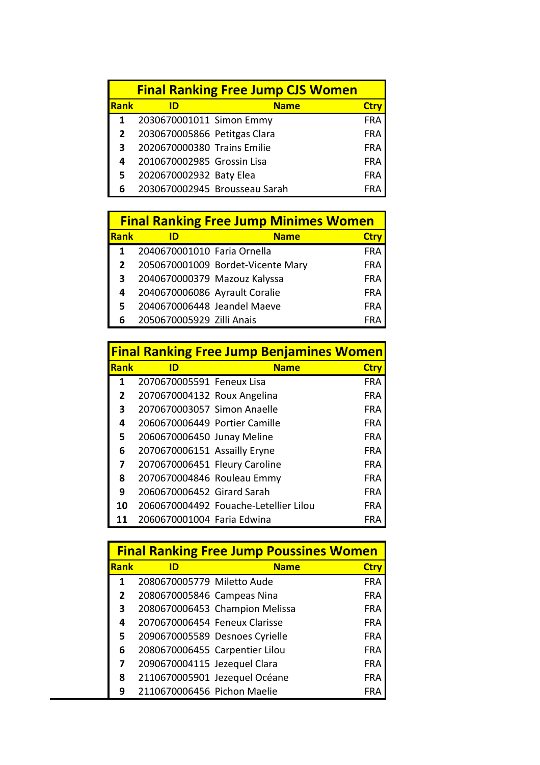|      | <b>Final Ranking Free Jump CJS Women</b> |                               |            |
|------|------------------------------------------|-------------------------------|------------|
| Rank |                                          | <b>Name</b>                   |            |
|      | 2030670001011 Simon Emmy                 |                               | <b>FRA</b> |
|      | 2030670005866 Petitgas Clara             |                               | <b>FRA</b> |
| 3    | 2020670000380 Trains Emilie              |                               | <b>FRA</b> |
|      | 2010670002985 Grossin Lisa               |                               | <b>FRA</b> |
| 5    | 2020670002932 Baty Elea                  |                               | <b>FRA</b> |
| 6    |                                          | 2030670002945 Brousseau Sarah |            |

| <b>Final Ranking Free Jump Minimes Women</b> |                               |                                   |             |  |  |  |
|----------------------------------------------|-------------------------------|-----------------------------------|-------------|--|--|--|
| <b>Rank</b>                                  | ID                            | <b>Name</b>                       | <b>Ctry</b> |  |  |  |
| 1                                            | 2040670001010 Faria Ornella   |                                   | <b>FRA</b>  |  |  |  |
|                                              |                               | 2050670001009 Bordet-Vicente Mary | <b>FRA</b>  |  |  |  |
| 3                                            | 2040670000379 Mazouz Kalyssa  |                                   | <b>FRA</b>  |  |  |  |
| 4                                            | 2040670006086 Ayrault Coralie |                                   | <b>FRA</b>  |  |  |  |
|                                              | 2040670006448 Jeandel Maeve   |                                   | <b>FRA</b>  |  |  |  |
| 6                                            | 2050670005929 Zilli Anais     |                                   | FRA         |  |  |  |

| <b>Final Ranking Free Jump Benjamines Women</b> |                               |                                       |             |  |  |
|-------------------------------------------------|-------------------------------|---------------------------------------|-------------|--|--|
| <b>Rank</b>                                     | ID                            | <b>Name</b>                           | <b>Ctry</b> |  |  |
| 1                                               | 2070670005591 Feneux Lisa     |                                       | <b>FRA</b>  |  |  |
| 2                                               | 2070670004132 Roux Angelina   |                                       | <b>FRA</b>  |  |  |
| 3                                               | 2070670003057 Simon Anaelle   |                                       | FRA         |  |  |
| 4                                               | 2060670006449 Portier Camille |                                       | FRA         |  |  |
| 5                                               | 2060670006450 Junay Meline    |                                       | FRA         |  |  |
| 6                                               | 2070670006151 Assailly Eryne  |                                       | FRA         |  |  |
| 7                                               | 2070670006451 Fleury Caroline |                                       | <b>FRA</b>  |  |  |
| 8                                               | 2070670004846 Rouleau Emmy    |                                       | FRA         |  |  |
| 9                                               | 2060670006452 Girard Sarah    |                                       | FRA         |  |  |
| 10                                              |                               | 2060670004492 Fouache-Letellier Lilou | FRA         |  |  |
|                                                 | 2060670001004 Faria Edwina    |                                       | FRA         |  |  |

| <b>Final Ranking Free Jump Poussines Women</b> |                                |                                |             |  |  |
|------------------------------------------------|--------------------------------|--------------------------------|-------------|--|--|
| <b>IRank</b>                                   | ID                             | <b>Name</b>                    | <b>Ctry</b> |  |  |
| 1                                              | 2080670005779 Miletto Aude     |                                | <b>FRA</b>  |  |  |
| 2                                              | 2080670005846 Campeas Nina     |                                | <b>FRA</b>  |  |  |
| 3                                              |                                | 2080670006453 Champion Melissa | FRA         |  |  |
| 4                                              | 2070670006454 Feneux Clarisse  |                                | <b>FRA</b>  |  |  |
| 5                                              |                                | 2090670005589 Desnoes Cyrielle | FRA         |  |  |
| 6                                              | 2080670006455 Carpentier Lilou |                                | <b>FRA</b>  |  |  |
| 7                                              | 2090670004115 Jezequel Clara   |                                | <b>FRA</b>  |  |  |
| 8                                              |                                | 2110670005901 Jezequel Océane  | <b>FRA</b>  |  |  |
| 9                                              | 2110670006456 Pichon Maelie    |                                | FRA         |  |  |